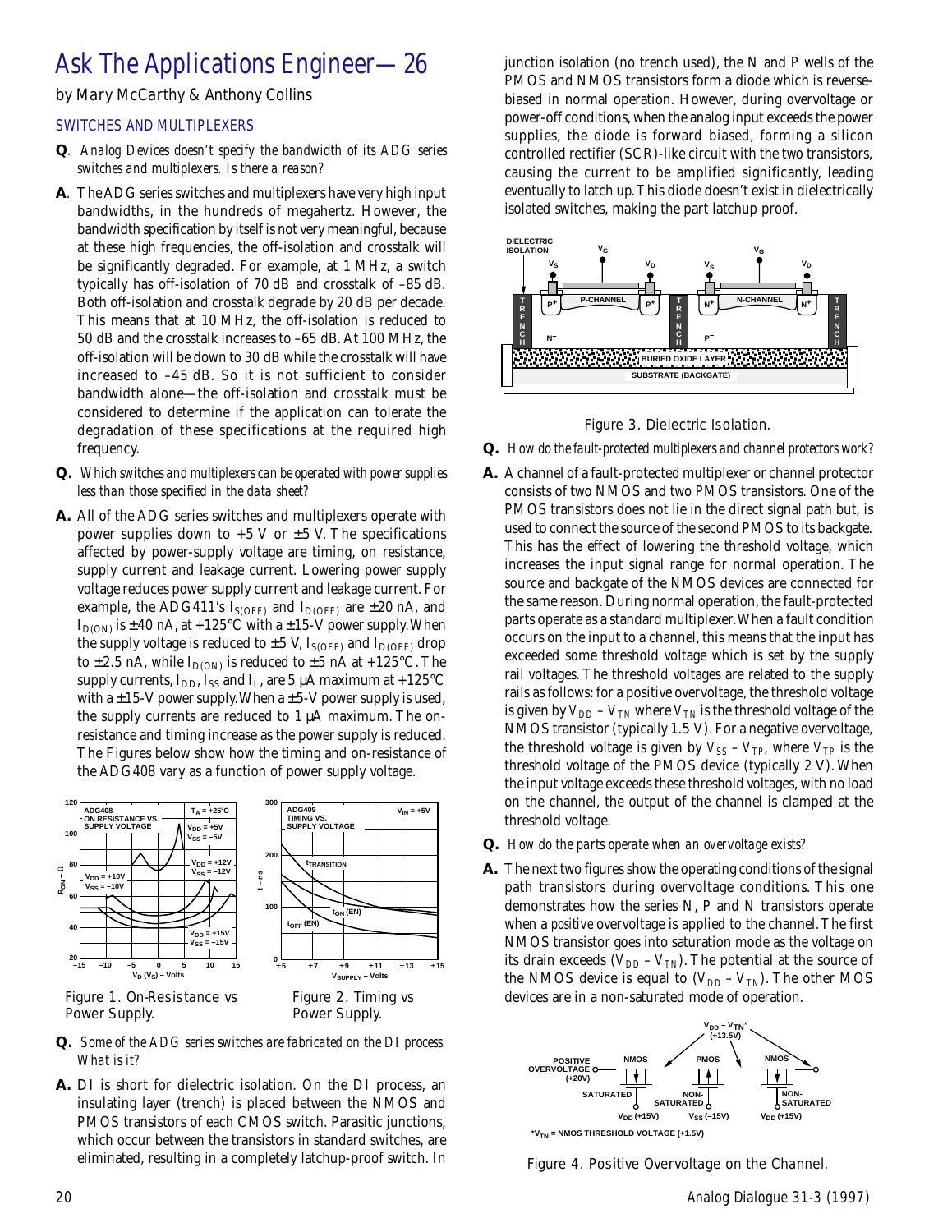## Ask The Applications Engineer—26

by Mary McCarthy & Anthony Collins

## SWITCHES AND MULTIPLEXERS

- *Q. Analog Devices doesn't specify the bandwidth of its ADG series switches and multiplexers. Is there a reason?*
- **A**. The ADG series switches and multiplexers have very high input bandwidths, in the hundreds of megahertz. However, the bandwidth specification by itself is not very meaningful, because at these high frequencies, the off-isolation and crosstalk will be significantly degraded. For example, at 1 MHz, a switch typically has off-isolation of 70 dB and crosstalk of –85 dB. Both off-isolation and crosstalk degrade by 20 dB per decade. This means that at 10 MHz, the off-isolation is reduced to 50 dB and the crosstalk increases to –65 dB. At 100 MHz, the off-isolation will be down to 30 dB while the crosstalk will have increased to –45 dB. So it is not sufficient to consider bandwidth alone—the off-isolation and crosstalk must be considered to determine if the application can tolerate the degradation of these specifications at the required high frequency.
- *Q. Which switches and multiplexers can be operated with power supplies less than those specified in the data sheet?*
- **A.** All of the ADG series switches and multiplexers operate with power supplies down to  $+5$  V or  $\pm 5$  V. The specifications affected by power-supply voltage are timing, on resistance, supply current and leakage current. Lowering power supply voltage reduces power supply current and leakage current. For example, the ADG411's I<sub>S(OFF)</sub> and I<sub>D(OFF)</sub> are  $\pm 20$  nA, and  $I_{D(ON)}$  is  $\pm 40$  nA, at +125°C with a  $\pm 15$ -V power supply. When the supply voltage is reduced to  $\pm 5$  V, I<sub>S(OFF)</sub> and I<sub>D(OFF)</sub> drop to  $\pm 2.5$  nA, while  $I_{D(ON)}$  is reduced to  $\pm 5$  nA at  $+125^{\circ}$ C. The supply currents,  $I_{DD}$ , I<sub>SS</sub> and I<sub>L</sub>, are 5  $\mu$ A maximum at +125°C with a  $\pm$  15-V power supply. When a  $\pm$  5-V power supply is used, the supply currents are reduced to 1 µA maximum. The onresistance and timing increase as the power supply is reduced. The Figures below show how the timing and on-resistance of the ADG408 vary as a function of power supply voltage.



## *Q. Some of the ADG series switches are fabricated on the DI process. What is it?*

**A.** DI is short for dielectric isolation. On the DI process, an insulating layer (trench) is placed between the NMOS and PMOS transistors of each CMOS switch. Parasitic junctions, which occur between the transistors in standard switches, are eliminated, resulting in a completely latchup-proof switch. In

junction isolation (no trench used), the N and P wells of the PMOS and NMOS transistors form a diode which is reversebiased in normal operation. However, during overvoltage or power-off conditions, when the analog input exceeds the power supplies, the diode is forward biased, forming a silicon controlled rectifier (SCR)-like circuit with the two transistors, causing the current to be amplified significantly, leading eventually to latch up. This diode doesn't exist in dielectrically isolated switches, making the part latchup proof.



Figure 3. Dielectric Isolation.

- *Q. How do the fault-protected multiplexers and channel protectors work?*
- **A.** A channel of a fault-protected multiplexer or channel protector consists of two NMOS and two PMOS transistors. One of the PMOS transistors does not lie in the direct signal path but, is used to connect the source of the second PMOS to its backgate. This has the effect of lowering the threshold voltage, which increases the input signal range for normal operation. The source and backgate of the NMOS devices are connected for the same reason. During normal operation, the fault-protected parts operate as a standard multiplexer. When a fault condition occurs on the input to a channel, this means that the input has exceeded some threshold voltage which is set by the supply rail voltages. The threshold voltages are related to the supply rails as follows: for a positive overvoltage, the threshold voltage is given by  $V_{DD}$  –  $V_{TN}$  where  $V_{TN}$  is the threshold voltage of the NMOS transistor (typically 1.5 V). For a negative overvoltage, the threshold voltage is given by  $V_{SS}$  –  $V_{TP}$ , where  $V_{TP}$  is the threshold voltage of the PMOS device (typically 2 V). When the input voltage exceeds these threshold voltages, with no load on the channel, the output of the channel is clamped at the threshold voltage.
- *Q. How do the parts operate when an overvoltage exists?*
- **A.** The next two figures show the operating conditions of the signal path transistors during overvoltage conditions. This one demonstrates how the series N, P and N transistors operate when a *positive* overvoltage is applied to the channel. The first NMOS transistor goes into saturation mode as the voltage on its drain exceeds  $(V_{DD} - V_{TN})$ . The potential at the source of the NMOS device is equal to  $(V_{DD} - V_{TN})$ . The other MOS devices are in a non-saturated mode of operation.



Figure 4. Positive Overvoltage on the Channel.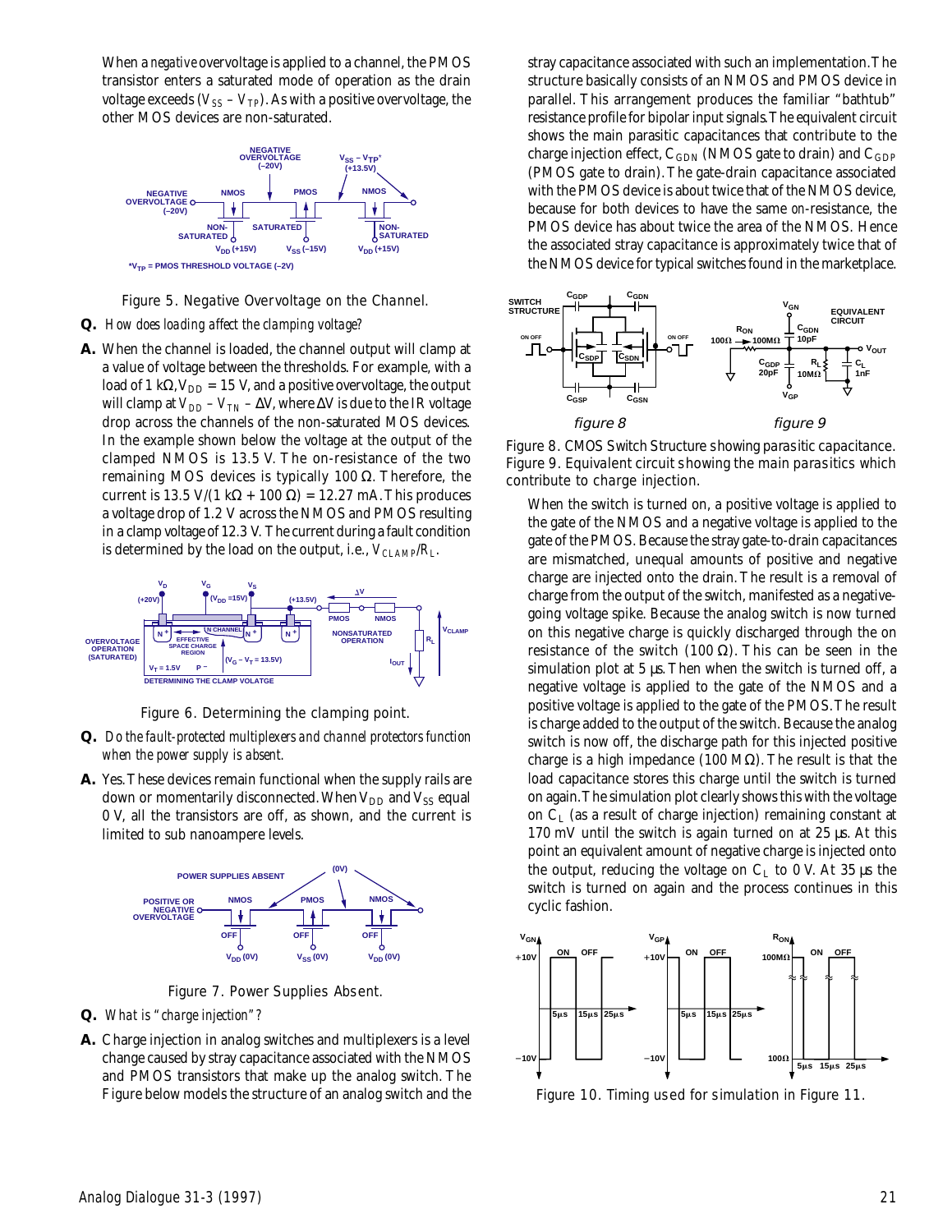When a *negative* overvoltage is applied to a channel, the PMOS transistor enters a saturated mode of operation as the drain voltage exceeds ( $V_{SS}$  –  $V_{TP}$ ). As with a positive overvoltage, the other MOS devices are non-saturated.



Figure 5. Negative Overvoltage on the Channel.

## *Q. How does loading affect the clamping voltage?*

**A.** When the channel is loaded, the channel output will clamp at a value of voltage between the thresholds. For example, with a load of 1 kΩ,  $V_{DD}$  = 15 V, and a positive overvoltage, the output will clamp at  $V_{DD}$  –  $V_{TN}$  –  $\Delta V$ , where  $\Delta V$  is due to the IR voltage drop across the channels of the non-saturated MOS devices. In the example shown below the voltage at the output of the clamped NMOS is 13.5 V. The on-resistance of the two remaining MOS devices is typically 100 Ω. Therefore, the current is 13.5 V/(1 k $\Omega$  + 100  $\Omega$ ) = 12.27 mA. This produces a voltage drop of 1.2 V across the NMOS and PMOS resulting in a clamp voltage of 12.3 V. The current during a fault condition is determined by the load on the output, i.e.,  $V_{CLAMP}/R_L$ .



Figure 6. Determining the clamping point.

- *Q. Do the fault-protected multiplexers and channel protectors function when the power supply is absent.*
- **A.** Yes. These devices remain functional when the supply rails are down or momentarily disconnected. When  $V_{DD}$  and  $V_{SS}$  equal 0 V, all the transistors are off, as shown, and the current is limited to sub nanoampere levels.



Figure 7. Power Supplies Absent.

- *Q. What is "charge injection"?*
- **A.** Charge injection in analog switches and multiplexers is a level change caused by stray capacitance associated with the NMOS and PMOS transistors that make up the analog switch. The Figure below models the structure of an analog switch and the

stray capacitance associated with such an implementation. The structure basically consists of an NMOS and PMOS device in parallel. This arrangement produces the familiar "bathtub" resistance profile for bipolar input signals. The equivalent circuit shows the main parasitic capacitances that contribute to the charge injection effect,  $C_{GDN}$  (NMOS gate to drain) and  $C_{GDP}$ (PMOS gate to drain). The gate-drain capacitance associated with the PMOS device is about twice that of the NMOS device, because for both devices to have the same *on*-resistance, the PMOS device has about twice the area of the NMOS. Hence the associated stray capacitance is approximately twice that of the NMOS device for typical switches found in the marketplace.



Figure 8. CMOS Switch Structure showing parasitic capacitance. Figure 9. Equivalent circuit showing the main parasitics which contribute to charge injection.

When the switch is turned on, a positive voltage is applied to the gate of the NMOS and a negative voltage is applied to the gate of the PMOS. Because the stray gate-to-drain capacitances are mismatched, unequal amounts of positive and negative charge are injected onto the drain. The result is a removal of charge from the output of the switch, manifested as a negativegoing voltage spike. Because the analog switch is now turned on this negative charge is quickly discharged through the on resistance of the switch (100 Ω). This can be seen in the simulation plot at 5 µs. Then when the switch is turned off, a negative voltage is applied to the gate of the NMOS and a positive voltage is applied to the gate of the PMOS. The result is charge added to the output of the switch. Because the analog switch is now off, the discharge path for this injected positive charge is a high impedance (100 MΩ). The result is that the load capacitance stores this charge until the switch is turned on again. The simulation plot clearly shows this with the voltage on  $C_{L}$  (as a result of charge injection) remaining constant at 170 mV until the switch is again turned on at 25 µs. At this point an equivalent amount of negative charge is injected onto the output, reducing the voltage on  $C_L$  to 0 V. At 35 µs the switch is turned on again and the process continues in this cyclic fashion.



Figure 10. Timing used for simulation in Figure 11.